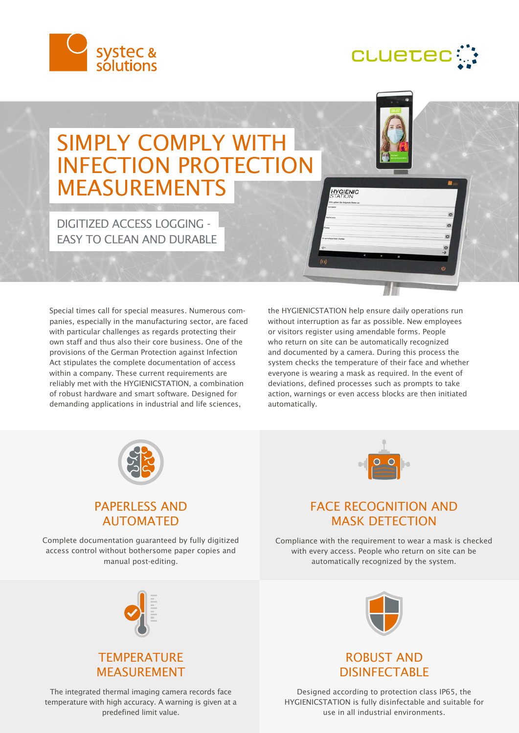



# SIMPLY COMPLY WITH INFECTION PROTECTION MEASUREMENTS

DIGITIZED ACCESS LOGGING - **FASY TO CLEAN AND DURABLE** 

Special times call for special measures. Numerous companies, especially in the manufacturing sector, are faced with particular challenges as regards protecting their own staff and thus also their core business. One of the provisions of the German Protection against Infection Act stipulates the complete documentation of access within a company. These current requirements are reliably met with the HYGIENICSTATION, a combination of robust hardware and smart software. Designed for demanding applications in industrial and life sciences,

the HYGIENICSTATION help ensure daily operations run without interruption as far as possible. New employees or visitors register using amendable forms. People who return on site can be automatically recognized and documented by a camera. During this process the system checks the temperature of their face and whether everyone is wearing a mask as required. In the event of deviations, defined processes such as prompts to take action, warnings or even access blocks are then initiated automatically.

**HYGIENIC** 



#### PAPERLESS AND AUTOMATED

Complete documentation guaranteed by fully digitized access control without bothersome paper copies and manual post-editing.



## FACE RECOGNITION AND MASK DETECTION

Compliance with the requirement to wear a mask is checked with every access. People who return on site can be automatically recognized by the system.



## **TEMPERATURE** MEASUREMENT

The integrated thermal imaging camera records face temperature with high accuracy. A warning is given at a predefined limit value.



## ROBUST AND DISINFECTABLE

Designed according to protection class IP65, the HYGIENICSTATION is fully disinfectable and suitable for use in all industrial environments.